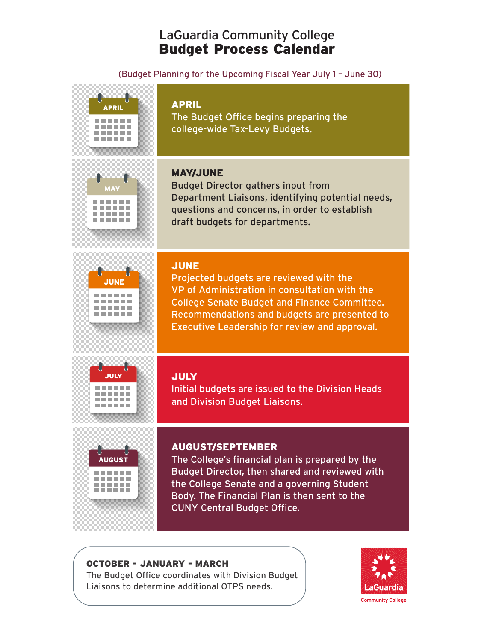# LaGuardia Community College Budget Process Calendar

### (Budget Planning for the Upcoming Fiscal Year July 1 – June 30)







### APRIL

The Budget Office begins preparing the college-wide Tax-Levy Budgets.

# MAY/JUNE

Budget Director gathers input from Department Liaisons, identifying potential needs, questions and concerns, in order to establish draft budgets for departments.

### JUNE

Projected budgets are reviewed with the VP of Administration in consultation with the College Senate Budget and Finance Committee. Recommendations and budgets are presented to Executive Leadership for review and approval.





# JULY

Initial budgets are issued to the Division Heads and Division Budget Liaisons.

# AUGUST/SEPTEMBER

The College's financial plan is prepared by the Budget Director, then shared and reviewed with the College Senate and a governing Student Body. The Financial Plan is then sent to the CUNY Central Budget Office.

### OCTOBER - JANUARY - MARCH

The Budget Office coordinates with Division Budget Liaisons to determine additional OTPS needs.

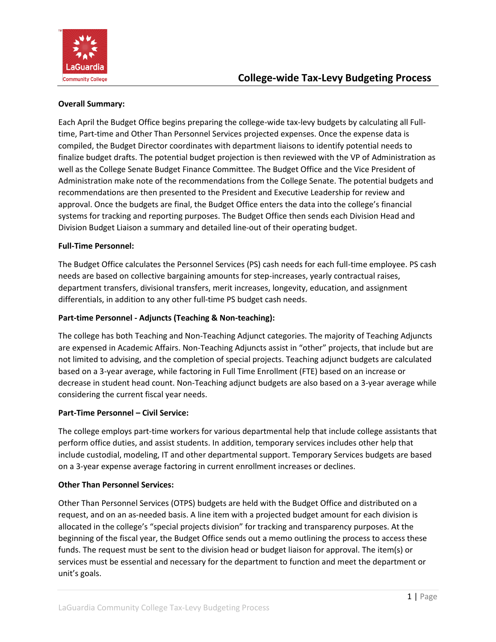

#### **Overall Summary:**

Each April the Budget Office begins preparing the college-wide tax-levy budgets by calculating all Fulltime, Part-time and Other Than Personnel Services projected expenses. Once the expense data is compiled, the Budget Director coordinates with department liaisons to identify potential needs to finalize budget drafts. The potential budget projection is then reviewed with the VP of Administration as well as the College Senate Budget Finance Committee. The Budget Office and the Vice President of Administration make note of the recommendations from the College Senate. The potential budgets and recommendations are then presented to the President and Executive Leadership for review and approval. Once the budgets are final, the Budget Office enters the data into the college's financial systems for tracking and reporting purposes. The Budget Office then sends each Division Head and Division Budget Liaison a summary and detailed line-out of their operating budget.

#### **Full-Time Personnel:**

The Budget Office calculates the Personnel Services (PS) cash needs for each full-time employee. PS cash needs are based on collective bargaining amounts for step-increases, yearly contractual raises, department transfers, divisional transfers, merit increases, longevity, education, and assignment differentials, in addition to any other full-time PS budget cash needs.

#### **Part-time Personnel - Adjuncts (Teaching & Non-teaching):**

The college has both Teaching and Non-Teaching Adjunct categories. The majority of Teaching Adjuncts are expensed in Academic Affairs. Non-Teaching Adjuncts assist in "other" projects, that include but are not limited to advising, and the completion of special projects. Teaching adjunct budgets are calculated based on a 3-year average, while factoring in Full Time Enrollment (FTE) based on an increase or decrease in student head count. Non-Teaching adjunct budgets are also based on a 3-year average while considering the current fiscal year needs.

#### **Part-Time Personnel – Civil Service:**

The college employs part-time workers for various departmental help that include college assistants that perform office duties, and assist students. In addition, temporary services includes other help that include custodial, modeling, IT and other departmental support. Temporary Services budgets are based on a 3-year expense average factoring in current enrollment increases or declines.

#### **Other Than Personnel Services:**

Other Than Personnel Services (OTPS) budgets are held with the Budget Office and distributed on a request, and on an as-needed basis. A line item with a projected budget amount for each division is allocated in the college's "special projects division" for tracking and transparency purposes. At the beginning of the fiscal year, the Budget Office sends out a memo outlining the process to access these funds. The request must be sent to the division head or budget liaison for approval. The item(s) or services must be essential and necessary for the department to function and meet the department or unit's goals.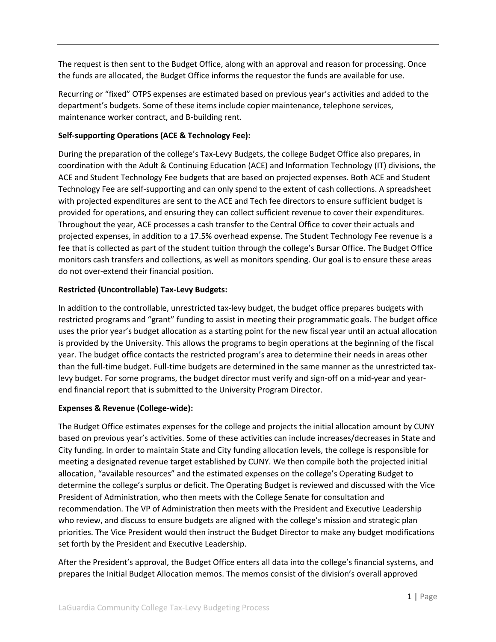The request is then sent to the Budget Office, along with an approval and reason for processing. Once the funds are allocated, the Budget Office informs the requestor the funds are available for use.

Recurring or "fixed" OTPS expenses are estimated based on previous year's activities and added to the department's budgets. Some of these items include copier maintenance, telephone services, maintenance worker contract, and B-building rent.

#### **Self-supporting Operations (ACE & Technology Fee):**

During the preparation of the college's Tax-Levy Budgets, the college Budget Office also prepares, in coordination with the Adult & Continuing Education (ACE) and Information Technology (IT) divisions, the ACE and Student Technology Fee budgets that are based on projected expenses. Both ACE and Student Technology Fee are self-supporting and can only spend to the extent of cash collections. A spreadsheet with projected expenditures are sent to the ACE and Tech fee directors to ensure sufficient budget is provided for operations, and ensuring they can collect sufficient revenue to cover their expenditures. Throughout the year, ACE processes a cash transfer to the Central Office to cover their actuals and projected expenses, in addition to a 17.5% overhead expense. The Student Technology Fee revenue is a fee that is collected as part of the student tuition through the college's Bursar Office. The Budget Office monitors cash transfers and collections, as well as monitors spending. Our goal is to ensure these areas do not over-extend their financial position.

#### **Restricted (Uncontrollable) Tax-Levy Budgets:**

In addition to the controllable, unrestricted tax-levy budget, the budget office prepares budgets with restricted programs and "grant" funding to assist in meeting their programmatic goals. The budget office uses the prior year's budget allocation as a starting point for the new fiscal year until an actual allocation is provided by the University. This allows the programs to begin operations at the beginning of the fiscal year. The budget office contacts the restricted program's area to determine their needs in areas other than the full-time budget. Full-time budgets are determined in the same manner as the unrestricted taxlevy budget. For some programs, the budget director must verify and sign-off on a mid-year and yearend financial report that is submitted to the University Program Director.

#### **Expenses & Revenue (College-wide):**

The Budget Office estimates expenses for the college and projects the initial allocation amount by CUNY based on previous year's activities. Some of these activities can include increases/decreases in State and City funding. In order to maintain State and City funding allocation levels, the college is responsible for meeting a designated revenue target established by CUNY. We then compile both the projected initial allocation, "available resources" and the estimated expenses on the college's Operating Budget to determine the college's surplus or deficit. The Operating Budget is reviewed and discussed with the Vice President of Administration, who then meets with the College Senate for consultation and recommendation. The VP of Administration then meets with the President and Executive Leadership who review, and discuss to ensure budgets are aligned with the college's mission and strategic plan priorities. The Vice President would then instruct the Budget Director to make any budget modifications set forth by the President and Executive Leadership.

After the President's approval, the Budget Office enters all data into the college's financial systems, and prepares the Initial Budget Allocation memos. The memos consist of the division's overall approved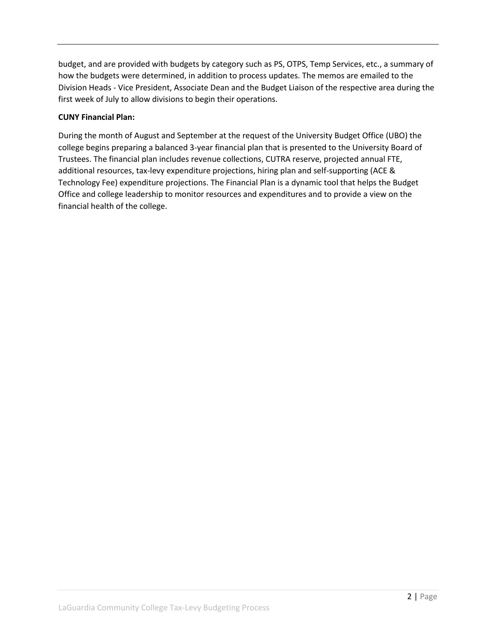budget, and are provided with budgets by category such as PS, OTPS, Temp Services, etc., a summary of how the budgets were determined, in addition to process updates. The memos are emailed to the Division Heads - Vice President, Associate Dean and the Budget Liaison of the respective area during the first week of July to allow divisions to begin their operations.

#### **CUNY Financial Plan:**

During the month of August and September at the request of the University Budget Office (UBO) the college begins preparing a balanced 3-year financial plan that is presented to the University Board of Trustees. The financial plan includes revenue collections, CUTRA reserve, projected annual FTE, additional resources, tax-levy expenditure projections, hiring plan and self-supporting (ACE & Technology Fee) expenditure projections. The Financial Plan is a dynamic tool that helps the Budget Office and college leadership to monitor resources and expenditures and to provide a view on the financial health of the college.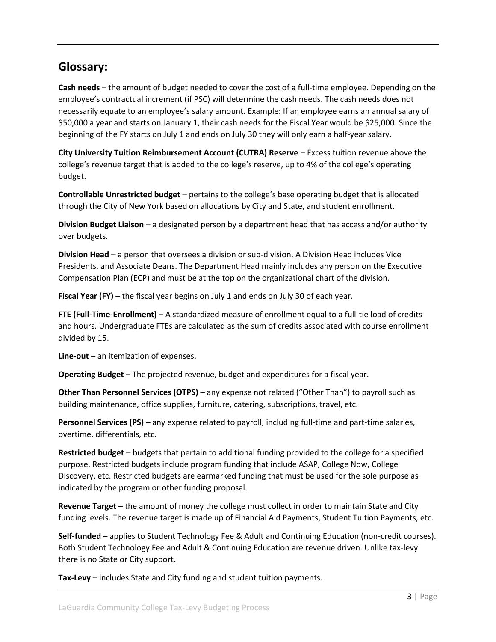# **Glossary:**

**Cash needs** – the amount of budget needed to cover the cost of a full-time employee. Depending on the employee's contractual increment (if PSC) will determine the cash needs. The cash needs does not necessarily equate to an employee's salary amount. Example: If an employee earns an annual salary of \$50,000 a year and starts on January 1, their cash needs for the Fiscal Year would be \$25,000. Since the beginning of the FY starts on July 1 and ends on July 30 they will only earn a half-year salary.

**City University Tuition Reimbursement Account (CUTRA) Reserve** – Excess tuition revenue above the college's revenue target that is added to the college's reserve, up to 4% of the college's operating budget.

**Controllable Unrestricted budget** – pertains to the college's base operating budget that is allocated through the City of New York based on allocations by City and State, and student enrollment.

**Division Budget Liaison** – a designated person by a department head that has access and/or authority over budgets.

**Division Head** – a person that oversees a division or sub-division. A Division Head includes Vice Presidents, and Associate Deans. The Department Head mainly includes any person on the Executive Compensation Plan (ECP) and must be at the top on the organizational chart of the division.

**Fiscal Year (FY)** – the fiscal year begins on July 1 and ends on July 30 of each year.

**FTE (Full-Time-Enrollment)** – A standardized measure of enrollment equal to a full-tie load of credits and hours. Undergraduate FTEs are calculated as the sum of credits associated with course enrollment divided by 15.

**Line-out** – an itemization of expenses.

**Operating Budget** – The projected revenue, budget and expenditures for a fiscal year.

**Other Than Personnel Services (OTPS)** – any expense not related ("Other Than") to payroll such as building maintenance, office supplies, furniture, catering, subscriptions, travel, etc.

**Personnel Services (PS)** – any expense related to payroll, including full-time and part-time salaries, overtime, differentials, etc.

**Restricted budget** – budgets that pertain to additional funding provided to the college for a specified purpose. Restricted budgets include program funding that include ASAP, College Now, College Discovery, etc. Restricted budgets are earmarked funding that must be used for the sole purpose as indicated by the program or other funding proposal.

**Revenue Target** – the amount of money the college must collect in order to maintain State and City funding levels. The revenue target is made up of Financial Aid Payments, Student Tuition Payments, etc.

**Self-funded** – applies to Student Technology Fee & Adult and Continuing Education (non-credit courses). Both Student Technology Fee and Adult & Continuing Education are revenue driven. Unlike tax-levy there is no State or City support.

**Tax-Levy** – includes State and City funding and student tuition payments.